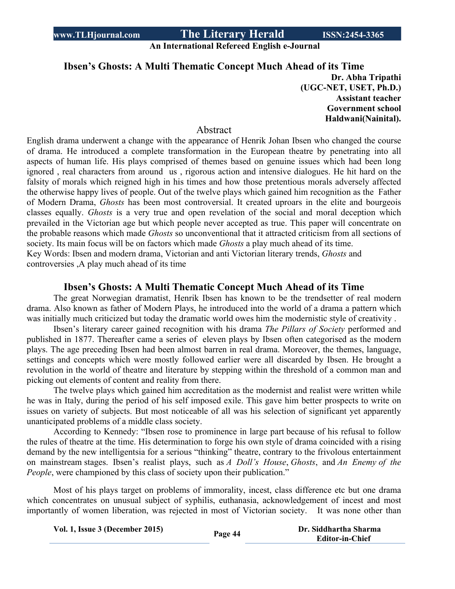**An International Refereed English e-Journal**

## **Ibsen's Ghosts: A Multi Thematic Concept Much Ahead of its Time**

**Dr. Abha Tripathi (UGC-NET, USET, Ph.D.) Assistant teacher Government school Haldwani(Nainital).** 

#### Abstract

English drama underwent a change with the appearance of Henrik Johan Ibsen who changed the course of drama. He introduced a complete transformation in the European theatre by penetrating into all aspects of human life. His plays comprised of themes based on genuine issues which had been long ignored , real characters from around us , rigorous action and intensive dialogues. He hit hard on the falsity of morals which reigned high in his times and how those pretentious morals adversely affected the otherwise happy lives of people. Out of the twelve plays which gained him recognition as the Father of Modern Drama, *Ghosts* has been most controversial. It created uproars in the elite and bourgeois classes equally. *Ghosts* is a very true and open revelation of the social and moral deception which prevailed in the Victorian age but which people never accepted as true. This paper will concentrate on the probable reasons which made *Ghosts* so unconventional that it attracted criticism from all sections of society. Its main focus will be on factors which made *Ghosts* a play much ahead of its time. Key Words: Ibsen and modern drama, Victorian and anti Victorian literary trends, *Ghosts* and

controversies ,A play much ahead of its time

#### **Ibsen's Ghosts: A Multi Thematic Concept Much Ahead of its Time**

The great Norwegian dramatist, Henrik Ibsen has known to be the trendsetter of real modern drama. Also known as father of Modern Plays, he introduced into the world of a drama a pattern which was initially much criticized but today the dramatic world owes him the modernistic style of creativity .

Ibsen's literary career gained recognition with his drama *The Pillars of Society* performed and published in 1877. Thereafter came a series of eleven plays by Ibsen often categorised as the modern plays. The age preceding Ibsen had been almost barren in real drama. Moreover, the themes, language, settings and concepts which were mostly followed earlier were all discarded by Ibsen. He brought a revolution in the world of theatre and literature by stepping within the threshold of a common man and picking out elements of content and reality from there.

The twelve plays which gained him accreditation as the modernist and realist were written while he was in Italy, during the period of his self imposed exile. This gave him better prospects to write on issues on variety of subjects. But most noticeable of all was his selection of significant yet apparently unanticipated problems of a middle class society.

According to Kennedy: "Ibsen rose to prominence in large part because of his refusal to follow the rules of theatre at the time. His determination to forge his own style of drama coincided with a rising demand by the new intelligentsia for a serious "thinking" theatre, contrary to the frivolous entertainment on mainstream stages. Ibsen's realist plays, such as *A Doll's House*, *Ghosts*, and *An Enemy of the People*, were championed by this class of society upon their publication."

Most of his plays target on problems of immorality, incest, class difference etc but one drama which concentrates on unusual subject of syphilis, euthanasia, acknowledgement of incest and most importantly of women liberation, was rejected in most of Victorian society. It was none other than

**Vol. 1, Issue <sup>3</sup> (December 2015) Page <sup>44</sup> Dr. Siddhartha Sharma**

**Editor-in-Chief**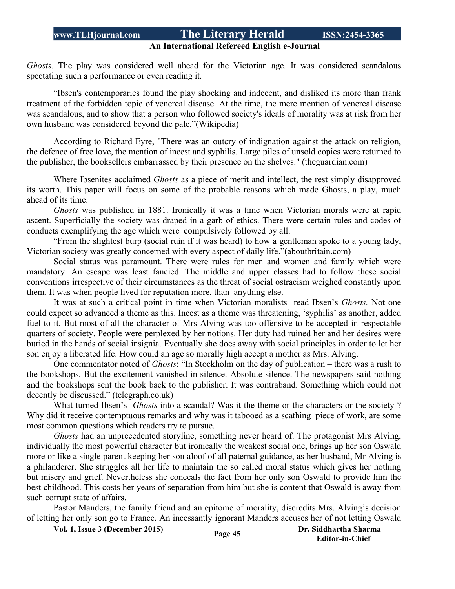# **An International Refereed English e-Journal**

*Ghosts*. The play was considered well ahead for the Victorian age. It was considered scandalous spectating such a performance or even reading it.

"Ibsen's contemporaries found the play shocking and indecent, and disliked its more than frank treatment of the forbidden topic of venereal disease. At the time, the mere mention of venereal disease was scandalous, and to show that a person who followed society's ideals of morality was at risk from her own husband was considered beyond the pale."(Wikipedia)

According to Richard Eyre, "There was an outcry of indignation against the attack on religion, the defence of free love, the mention of incest and syphilis. Large piles of unsold copies were returned to the publisher, the booksellers embarrassed by their presence on the shelves." (theguardian.com)

Where Ibsenites acclaimed *Ghosts* as a piece of merit and intellect, the rest simply disapproved its worth. This paper will focus on some of the probable reasons which made Ghosts, a play, much ahead of its time.

*Ghosts* was published in 1881. Ironically it was a time when Victorian morals were at rapid ascent. Superficially the society was draped in a garb of ethics. There were certain rules and codes of conducts exemplifying the age which were compulsively followed by all.

"From the slightest burp (social ruin if it was heard) to how a gentleman spoke to a young lady, Victorian society was greatly concerned with every aspect of daily life."(aboutbritain.com)

Social status was paramount. There were rules for men and women and family which were mandatory. An escape was least fancied. The middle and upper classes had to follow these social conventions irrespective of their circumstances as the threat of social ostracism weighed constantly upon them. It was when people lived for reputation more, than anything else.

It was at such a critical point in time when Victorian moralists read Ibsen's *Ghosts.* Not one could expect so advanced a theme as this. Incest as a theme was threatening, 'syphilis' as another, added fuel to it. But most of all the character of Mrs Alving was too offensive to be accepted in respectable quarters of society. People were perplexed by her notions. Her duty had ruined her and her desires were buried in the hands of social insignia. Eventually she does away with social principles in order to let her son enjoy a liberated life. How could an age so morally high accept a mother as Mrs. Alving.

One commentator noted of *Ghosts*: "In Stockholm on the day of publication – there was a rush to the bookshops. But the excitement vanished in silence. Absolute silence. The newspapers said nothing and the bookshops sent the book back to the publisher. It was contraband. Something which could not decently be discussed." (telegraph.co.uk)

What turned Ibsen's *Ghosts* into a scandal? Was it the theme or the characters or the society ? Why did it receive contemptuous remarks and why was it tabooed as a scathing piece of work, are some most common questions which readers try to pursue.

*Ghosts* had an unprecedented storyline, something never heard of. The protagonist Mrs Alving, individually the most powerful character but ironically the weakest social one, brings up her son Oswald more or like a single parent keeping her son aloof of all paternal guidance, as her husband, Mr Alving is a philanderer. She struggles all her life to maintain the so called moral status which gives her nothing but misery and grief. Nevertheless she conceals the fact from her only son Oswald to provide him the best childhood. This costs her years of separation from him but she is content that Oswald is away from such corrupt state of affairs.

Pastor Manders, the family friend and an epitome of morality, discredits Mrs. Alving's decision of letting her only son go to France. An incessantly ignorant Manders accuses her of not letting Oswald

| Vol. 1, Issue 3 (December 2015) | Page 45 | Dr. Siddhartha Sharma  |
|---------------------------------|---------|------------------------|
|                                 |         | <b>Editor-in-Chief</b> |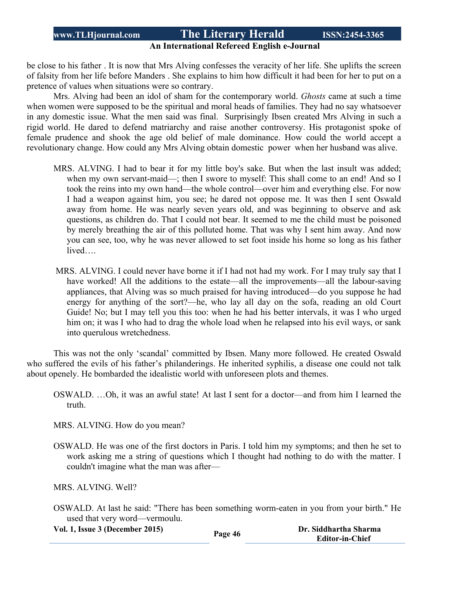#### **An International Refereed English e-Journal**

be close to his father . It is now that Mrs Alving confesses the veracity of her life. She uplifts the screen of falsity from her life before Manders . She explains to him how difficult it had been for her to put on a pretence of values when situations were so contrary.

Mrs. Alving had been an idol of sham for the contemporary world. *Ghosts* came at such a time when women were supposed to be the spiritual and moral heads of families. They had no say whatsoever in any domestic issue. What the men said was final. Surprisingly Ibsen created Mrs Alving in such a rigid world. He dared to defend matriarchy and raise another controversy. His protagonist spoke of female prudence and shook the age old belief of male dominance. How could the world accept a revolutionary change. How could any Mrs Alving obtain domestic power when her husband was alive.

- MRS. ALVING. I had to bear it for my little boy's sake. But when the last insult was added; when my own servant-maid—; then I swore to myself: This shall come to an end! And so I took the reins into my own hand—the whole control—over him and everything else. For now I had a weapon against him, you see; he dared not oppose me. It was then I sent Oswald away from home. He was nearly seven years old, and was beginning to observe and ask questions, as children do. That I could not bear. It seemed to me the child must be poisoned by merely breathing the air of this polluted home. That was why I sent him away. And now you can see, too, why he was never allowed to set foot inside his home so long as his father lived….
- MRS. ALVING. I could never have borne it if I had not had my work. For I may truly say that I have worked! All the additions to the estate—all the improvements—all the labour-saving appliances, that Alving was so much praised for having introduced—do you suppose he had energy for anything of the sort?—he, who lay all day on the sofa, reading an old Court Guide! No; but I may tell you this too: when he had his better intervals, it was I who urged him on; it was I who had to drag the whole load when he relapsed into his evil ways, or sank into querulous wretchedness.

This was not the only 'scandal' committed by Ibsen. Many more followed. He created Oswald who suffered the evils of his father's philanderings. He inherited syphilis, a disease one could not talk about openely. He bombarded the idealistic world with unforeseen plots and themes.

OSWALD. …Oh, it was an awful state! At last I sent for a doctor—and from him I learned the truth.

MRS. ALVING. How do you mean?

OSWALD. He was one of the first doctors in Paris. I told him my symptoms; and then he set to work asking me a string of questions which I thought had nothing to do with the matter. I couldn't imagine what the man was after—

MRS. ALVING. Well?

OSWALD. At last he said: "There has been something worm-eaten in you from your birth." He used that very word—vermoulu.

**Vol. 1, Issue <sup>3</sup> (December 2015) Page <sup>46</sup> Dr. Siddhartha Sharma**

**Editor-in-Chief**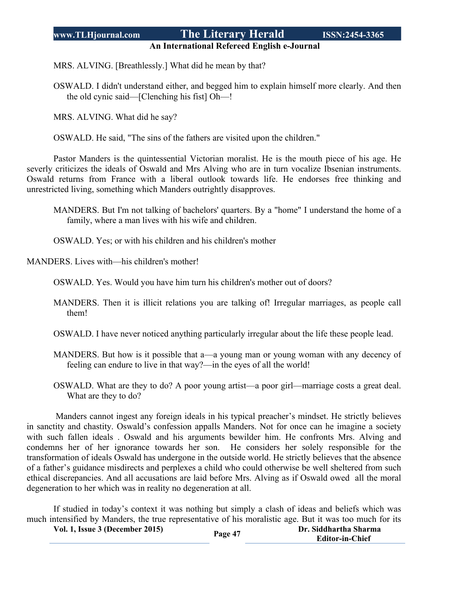#### **An International Refereed English e-Journal**

MRS. ALVING. [Breathlessly.] What did he mean by that?

OSWALD. I didn't understand either, and begged him to explain himself more clearly. And then the old cynic said—[Clenching his fist] Oh—!

MRS. ALVING. What did he say?

OSWALD. He said, "The sins of the fathers are visited upon the children."

Pastor Manders is the quintessential Victorian moralist. He is the mouth piece of his age. He severly criticizes the ideals of Oswald and Mrs Alving who are in turn vocalize Ibsenian instruments. Oswald returns from France with a liberal outlook towards life. He endorses free thinking and unrestricted living, something which Manders outrightly disapproves.

MANDERS. But I'm not talking of bachelors' quarters. By a "home" I understand the home of a family, where a man lives with his wife and children.

OSWALD. Yes; or with his children and his children's mother

MANDERS. Lives with—his children's mother!

OSWALD. Yes. Would you have him turn his children's mother out of doors?

MANDERS. Then it is illicit relations you are talking of! Irregular marriages, as people call them!

OSWALD. I have never noticed anything particularly irregular about the life these people lead.

- MANDERS. But how is it possible that a—a young man or young woman with any decency of feeling can endure to live in that way?—in the eyes of all the world!
- OSWALD. What are they to do? A poor young artist—a poor girl—marriage costs a great deal. What are they to do?

Manders cannot ingest any foreign ideals in his typical preacher's mindset. He strictly believes in sanctity and chastity. Oswald's confession appalls Manders. Not for once can he imagine a society with such fallen ideals . Oswald and his arguments bewilder him. He confronts Mrs. Alving and condemns her of her ignorance towards her son. He considers her solely responsible for the transformation of ideals Oswald has undergone in the outside world. He strictly believes that the absence of a father's guidance misdirects and perplexes a child who could otherwise be well sheltered from such ethical discrepancies. And all accusations are laid before Mrs. Alving as if Oswald owed all the moral degeneration to her which was in reality no degeneration at all.

If studied in today's context it was nothing but simply a clash of ideas and beliefs which was much intensified by Manders, the true representative of his moralistic age. But it was too much for its

| Vol. 1, Issue 3 (December 2015) |         | Dr. Siddhartha Sharma  |
|---------------------------------|---------|------------------------|
|                                 | Page 47 | <b>Editor-in-Chief</b> |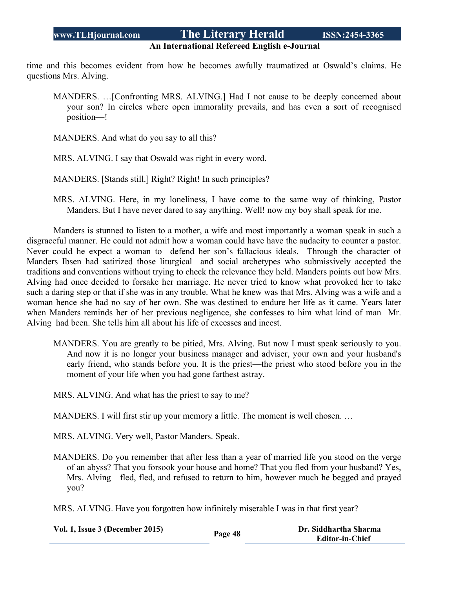#### **An International Refereed English e-Journal**

time and this becomes evident from how he becomes awfully traumatized at Oswald's claims. He questions Mrs. Alving.

- MANDERS. …[Confronting MRS. ALVING.] Had I not cause to be deeply concerned about your son? In circles where open immorality prevails, and has even a sort of recognised position—!
- MANDERS. And what do you say to all this?
- MRS. ALVING. I say that Oswald was right in every word.
- MANDERS. [Stands still.] Right? Right! In such principles?
- MRS. ALVING. Here, in my loneliness, I have come to the same way of thinking, Pastor Manders. But I have never dared to say anything. Well! now my boy shall speak for me.

Manders is stunned to listen to a mother, a wife and most importantly a woman speak in such a disgraceful manner. He could not admit how a woman could have have the audacity to counter a pastor. Never could he expect a woman to defend her son's fallacious ideals. Through the character of Manders Ibsen had satirized those liturgical and social archetypes who submissively accepted the traditions and conventions without trying to check the relevance they held. Manders points out how Mrs. Alving had once decided to forsake her marriage. He never tried to know what provoked her to take such a daring step or that if she was in any trouble. What he knew was that Mrs. Alving was a wife and a woman hence she had no say of her own. She was destined to endure her life as it came. Years later when Manders reminds her of her previous negligence, she confesses to him what kind of man Mr. Alving had been. She tells him all about his life of excesses and incest.

- MANDERS. You are greatly to be pitied, Mrs. Alving. But now I must speak seriously to you. And now it is no longer your business manager and adviser, your own and your husband's early friend, who stands before you. It is the priest—the priest who stood before you in the moment of your life when you had gone farthest astray.
- MRS. ALVING. And what has the priest to say to me?

MANDERS. I will first stir up your memory a little. The moment is well chosen. …

MRS. ALVING. Very well, Pastor Manders. Speak.

MANDERS. Do you remember that after less than a year of married life you stood on the verge of an abyss? That you forsook your house and home? That you fled from your husband? Yes, Mrs. Alving—fled, fled, and refused to return to him, however much he begged and prayed you?

MRS. ALVING. Have you forgotten how infinitely miserable I was in that first year?

| Vol. 1, Issue 3 (December 2015) | Page 48 | Dr. Siddhartha Sharma  |
|---------------------------------|---------|------------------------|
|                                 |         | <b>Editor-in-Chief</b> |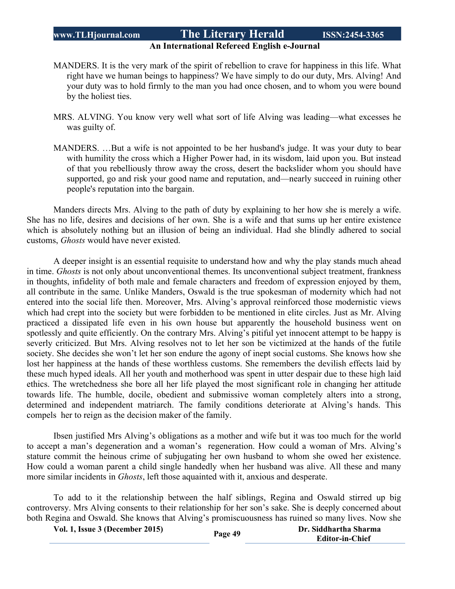#### **An International Refereed English e-Journal**

- MANDERS. It is the very mark of the spirit of rebellion to crave for happiness in this life. What right have we human beings to happiness? We have simply to do our duty, Mrs. Alving! And your duty was to hold firmly to the man you had once chosen, and to whom you were bound by the holiest ties.
- MRS. ALVING. You know very well what sort of life Alving was leading—what excesses he was guilty of.
- MANDERS. …But a wife is not appointed to be her husband's judge. It was your duty to bear with humility the cross which a Higher Power had, in its wisdom, laid upon you. But instead of that you rebelliously throw away the cross, desert the backslider whom you should have supported, go and risk your good name and reputation, and—nearly succeed in ruining other people's reputation into the bargain.

Manders directs Mrs. Alving to the path of duty by explaining to her how she is merely a wife. She has no life, desires and decisions of her own. She is a wife and that sums up her entire existence which is absolutely nothing but an illusion of being an individual. Had she blindly adhered to social customs, *Ghosts* would have never existed.

A deeper insight is an essential requisite to understand how and why the play stands much ahead in time. *Ghosts* is not only about unconventional themes. Its unconventional subject treatment, frankness in thoughts, infidelity of both male and female characters and freedom of expression enjoyed by them, all contribute in the same. Unlike Manders, Oswald is the true spokesman of modernity which had not entered into the social life then. Moreover, Mrs. Alving's approval reinforced those modernistic views which had crept into the society but were forbidden to be mentioned in elite circles. Just as Mr. Alving practiced a dissipated life even in his own house but apparently the household business went on spotlessly and quite efficiently. On the contrary Mrs. Alving's pitiful yet innocent attempt to be happy is severly criticized. But Mrs. Alving resolves not to let her son be victimized at the hands of the futile society. She decides she won't let her son endure the agony of inept social customs. She knows how she lost her happiness at the hands of these worthless customs. She remembers the devilish effects laid by these much hyped ideals. All her youth and motherhood was spent in utter despair due to these high laid ethics. The wretchedness she bore all her life played the most significant role in changing her attitude towards life. The humble, docile, obedient and submissive woman completely alters into a strong, determined and independent matriarch. The family conditions deteriorate at Alving's hands. This compels her to reign as the decision maker of the family.

Ibsen justified Mrs Alving's obligations as a mother and wife but it was too much for the world to accept a man's degeneration and a woman's regeneration. How could a woman of Mrs. Alving's stature commit the heinous crime of subjugating her own husband to whom she owed her existence. How could a woman parent a child single handedly when her husband was alive. All these and many more similar incidents in *Ghosts*, left those aquainted with it, anxious and desperate.

To add to it the relationship between the half siblings, Regina and Oswald stirred up big controversy. Mrs Alving consents to their relationship for her son's sake. She is deeply concerned about both Regina and Oswald. She knows that Alving's promiscuousness has ruined so many lives. Now she

**Vol. 1, Issue <sup>3</sup> (December 2015) Page <sup>49</sup> Dr. Siddhartha Sharma Editor-in-Chief**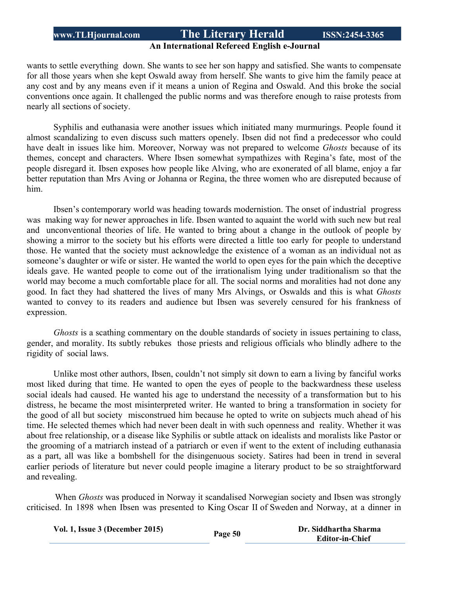#### **An International Refereed English e-Journal**

wants to settle everything down. She wants to see her son happy and satisfied. She wants to compensate for all those years when she kept Oswald away from herself. She wants to give him the family peace at any cost and by any means even if it means a union of Regina and Oswald. And this broke the social conventions once again. It challenged the public norms and was therefore enough to raise protests from nearly all sections of society.

Syphilis and euthanasia were another issues which initiated many murmurings. People found it almost scandalizing to even discuss such matters openely. Ibsen did not find a predecessor who could have dealt in issues like him. Moreover, Norway was not prepared to welcome *Ghosts* because of its themes, concept and characters. Where Ibsen somewhat sympathizes with Regina's fate, most of the people disregard it. Ibsen exposes how people like Alving, who are exonerated of all blame, enjoy a far better reputation than Mrs Aving or Johanna or Regina, the three women who are disreputed because of him.

Ibsen's contemporary world was heading towards modernistion. The onset of industrial progress was making way for newer approaches in life. Ibsen wanted to aquaint the world with such new but real and unconventional theories of life. He wanted to bring about a change in the outlook of people by showing a mirror to the society but his efforts were directed a little too early for people to understand those. He wanted that the society must acknowledge the existence of a woman as an individual not as someone's daughter or wife or sister. He wanted the world to open eyes for the pain which the deceptive ideals gave. He wanted people to come out of the irrationalism lying under traditionalism so that the world may become a much comfortable place for all. The social norms and moralities had not done any good. In fact they had shattered the lives of many Mrs Alvings, or Oswalds and this is what *Ghosts* wanted to convey to its readers and audience but Ibsen was severely censured for his frankness of expression.

*Ghosts* is a scathing commentary on the double standards of society in issues pertaining to class, gender, and morality. Its subtly rebukes those priests and religious officials who blindly adhere to the rigidity of social laws.

Unlike most other authors, Ibsen, couldn't not simply sit down to earn a living by fanciful works most liked during that time. He wanted to open the eyes of people to the backwardness these useless social ideals had caused. He wanted his age to understand the necessity of a transformation but to his distress, he became the most misinterpreted writer. He wanted to bring a transformation in society for the good of all but society misconstrued him because he opted to write on subjects much ahead of his time. He selected themes which had never been dealt in with such openness and reality. Whether it was about free relationship, or a disease like Syphilis or subtle attack on idealists and moralists like Pastor or the grooming of a matriarch instead of a patriarch or even if went to the extent of including euthanasia as a part, all was like a bombshell for the disingenuous society. Satires had been in trend in several earlier periods of literature but never could people imagine a literary product to be so straightforward and revealing.

 When *Ghosts* was produced in Norway it scandalised Norwegian society and Ibsen was strongly criticised. In 1898 when Ibsen was presented to King Oscar II of Sweden and Norway, at a dinner in

**Vol.** 1, Issue 3 (December 2015) **Page** 50 **Dr.** Siddhartha Sharma

**Editor-in-Chief**